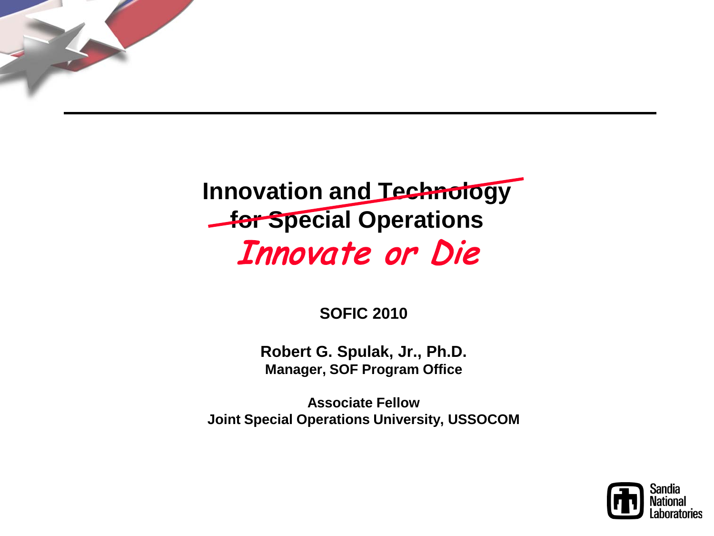

## **Innovation and Technology** *for Special Operations* Innovate or Die

#### **SOFIC 2010**

**Robert G. Spulak, Jr., Ph.D. Manager, SOF Program Office**

**Associate Fellow Joint Special Operations University, USSOCOM**

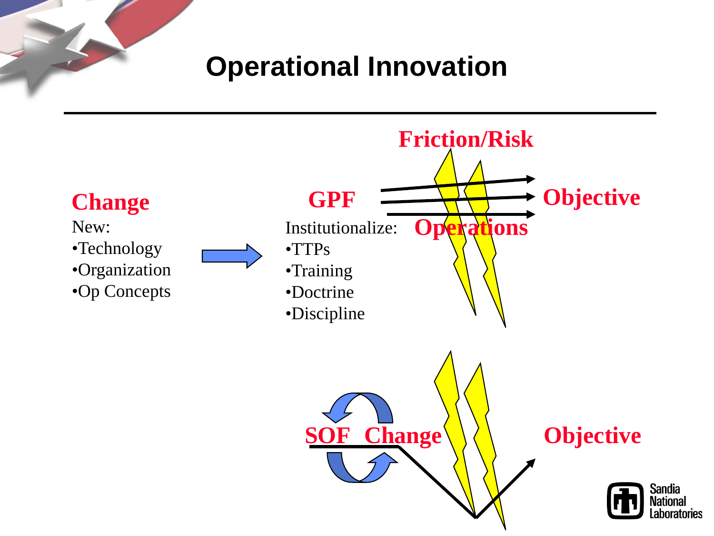### **Operational Innovation**

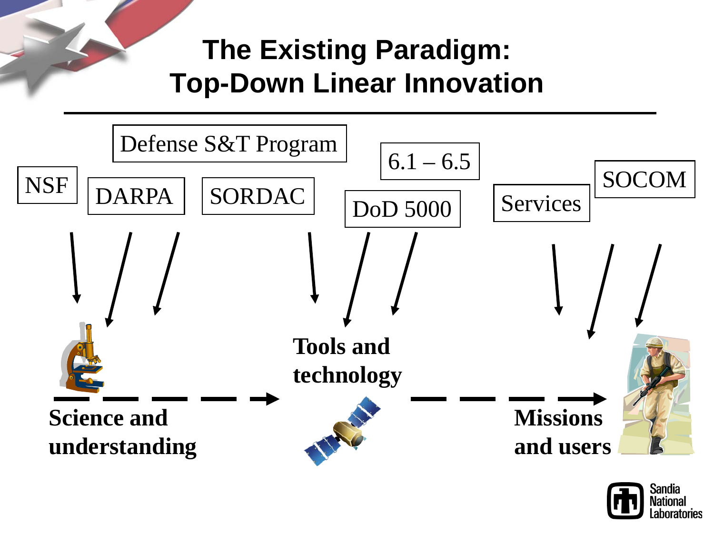# **The Existing Paradigm: Top-Down Linear Innovation**



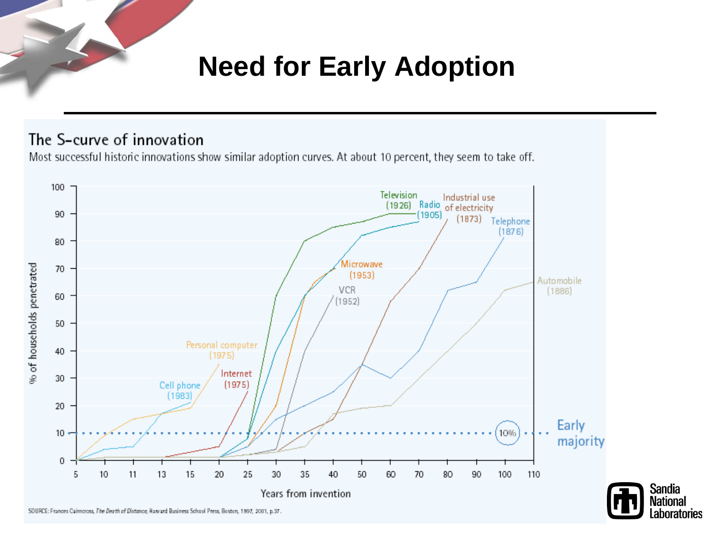## **Need for Early Adoption**

#### The S-curve of innovation

Most successful historic innovations show similar adoption curves. At about 10 percent, they seem to take off.



**Sandia** 

**National** 

.aboratories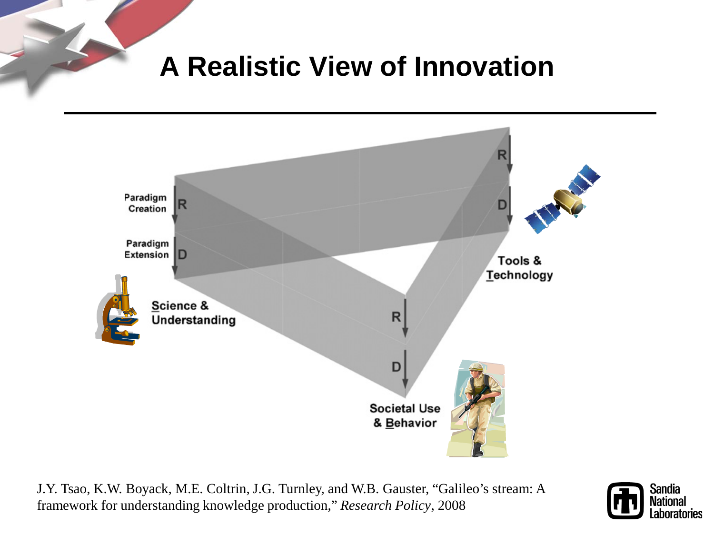**A Realistic View of Innovation**



J.Y. Tsao, K.W. Boyack, M.E. Coltrin, J.G. Turnley, and W.B. Gauster, "Galileo's stream: A framework for understanding knowledge production," *Research Policy*, 2008

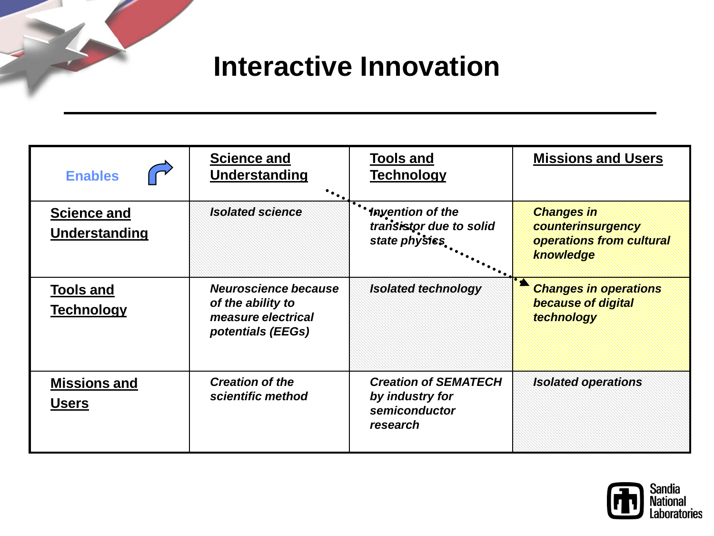**Interactive Innovation**

| <b>Enables</b>                        | <b>Science and</b><br>Understanding<br>$\ddotsc$                                     | <b>Tools and</b><br><b>Technology</b>                                       | <b>Missions and Users</b>                                                       |
|---------------------------------------|--------------------------------------------------------------------------------------|-----------------------------------------------------------------------------|---------------------------------------------------------------------------------|
| <b>Science and</b><br>Understanding   | <b>Isolated science</b>                                                              | <b>** Invention of the</b><br>transistor due to solid<br>state physics      | <b>Changes in</b><br>counterinsurgency<br>operations from cultural<br>knowledge |
| <b>Tools and</b><br><b>Technology</b> | Neuroscience because<br>of the ability to<br>measure electrical<br>potentials (EEGs) | <b>Isolated technology</b>                                                  | <b>Changes in operations</b><br>because of digital<br>technology                |
| <b>Missions and</b><br><b>Users</b>   | <b>Creation of the</b><br>scientific method                                          | <b>Creation of SEMATECH</b><br>by industry for<br>semiconductor<br>research | <b>Isolated operations</b>                                                      |

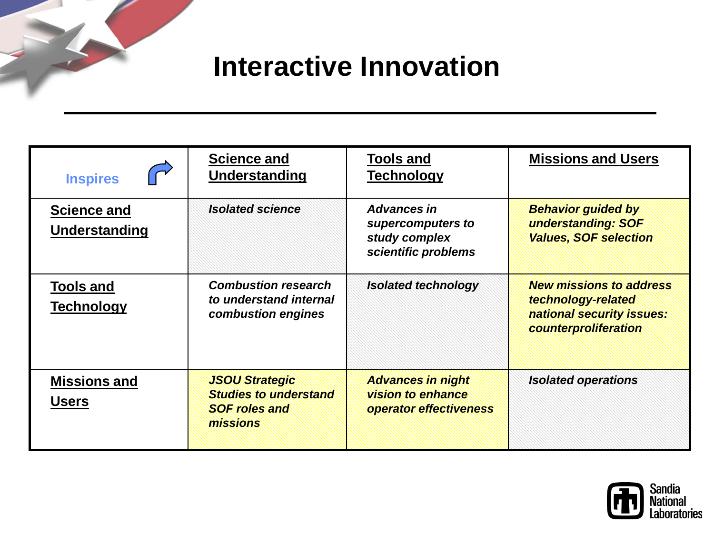**Interactive Innovation**

| <b>Inspires</b>                       | <b>Science and</b><br>Understanding                                                       | <b>Tools and</b><br><b>Technology</b>                                           | <b>Missions and Users</b>                                                                                 |
|---------------------------------------|-------------------------------------------------------------------------------------------|---------------------------------------------------------------------------------|-----------------------------------------------------------------------------------------------------------|
| <b>Science and</b><br>Understanding   | <b>Isolated science</b>                                                                   | <b>Advances in</b><br>supercomputers to<br>study complex<br>scientific problems | <b>Behavior guided by</b><br>understanding: SOF<br><b>Values, SOF selection</b>                           |
| <b>Tools and</b><br><b>Technology</b> | <b>Combustion research</b><br>to understand internal<br>combustion engines                | <b>Isolated technology</b>                                                      | <b>New missions to address</b><br>technology-related<br>national security issues:<br>counterproliferation |
| <b>Missions and</b><br><b>Users</b>   | <b>JSOU Strategic</b><br><b>Studies to understand</b><br><b>SOF roles and</b><br>missions | <b>Advances in night</b><br>vision to enhance<br>operator effectiveness         | <b>Isolated operations</b>                                                                                |

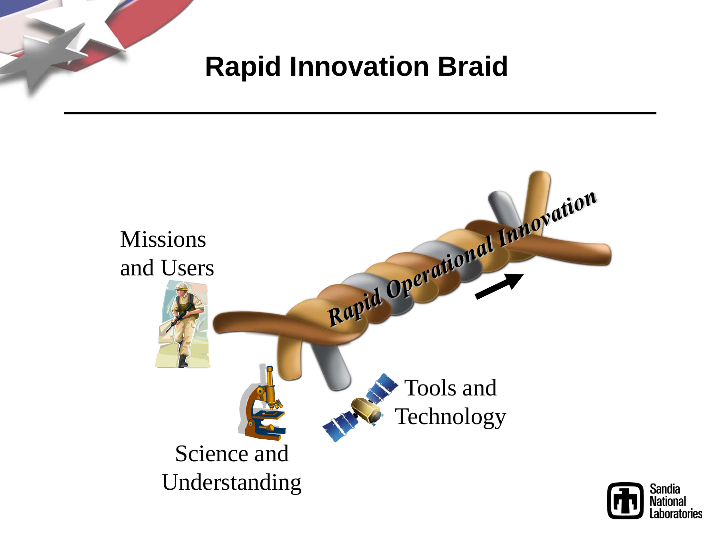

# **Rapid Innovation Braid**